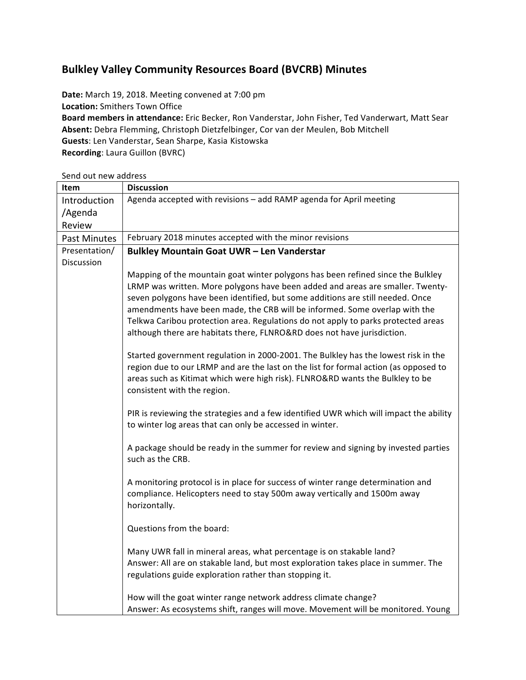## **Bulkley Valley Community Resources Board (BVCRB) Minutes**

Date: March 19, 2018. Meeting convened at 7:00 pm **Location:** Smithers Town Office Board members in attendance: Eric Becker, Ron Vanderstar, John Fisher, Ted Vanderwart, Matt Sear Absent: Debra Flemming, Christoph Dietzfelbinger, Cor van der Meulen, Bob Mitchell Guests: Len Vanderstar, Sean Sharpe, Kasia Kistowska **Recording**: Laura Guillon (BVRC)

Send out new address

| Item          | <b>Discussion</b>                                                                                                                                                                                                                                                                                                                                                                                                                                                                                 |  |  |
|---------------|---------------------------------------------------------------------------------------------------------------------------------------------------------------------------------------------------------------------------------------------------------------------------------------------------------------------------------------------------------------------------------------------------------------------------------------------------------------------------------------------------|--|--|
| Introduction  | Agenda accepted with revisions - add RAMP agenda for April meeting                                                                                                                                                                                                                                                                                                                                                                                                                                |  |  |
| /Agenda       |                                                                                                                                                                                                                                                                                                                                                                                                                                                                                                   |  |  |
| Review        |                                                                                                                                                                                                                                                                                                                                                                                                                                                                                                   |  |  |
| Past Minutes  | February 2018 minutes accepted with the minor revisions                                                                                                                                                                                                                                                                                                                                                                                                                                           |  |  |
| Presentation/ | <b>Bulkley Mountain Goat UWR - Len Vanderstar</b>                                                                                                                                                                                                                                                                                                                                                                                                                                                 |  |  |
| Discussion    |                                                                                                                                                                                                                                                                                                                                                                                                                                                                                                   |  |  |
|               | Mapping of the mountain goat winter polygons has been refined since the Bulkley<br>LRMP was written. More polygons have been added and areas are smaller. Twenty-<br>seven polygons have been identified, but some additions are still needed. Once<br>amendments have been made, the CRB will be informed. Some overlap with the<br>Telkwa Caribou protection area. Regulations do not apply to parks protected areas<br>although there are habitats there, FLNRO&RD does not have jurisdiction. |  |  |
|               | Started government regulation in 2000-2001. The Bulkley has the lowest risk in the<br>region due to our LRMP and are the last on the list for formal action (as opposed to<br>areas such as Kitimat which were high risk). FLNRO&RD wants the Bulkley to be<br>consistent with the region.                                                                                                                                                                                                        |  |  |
|               | PIR is reviewing the strategies and a few identified UWR which will impact the ability<br>to winter log areas that can only be accessed in winter.                                                                                                                                                                                                                                                                                                                                                |  |  |
|               | A package should be ready in the summer for review and signing by invested parties<br>such as the CRB.                                                                                                                                                                                                                                                                                                                                                                                            |  |  |
|               | A monitoring protocol is in place for success of winter range determination and<br>compliance. Helicopters need to stay 500m away vertically and 1500m away<br>horizontally.                                                                                                                                                                                                                                                                                                                      |  |  |
|               | Questions from the board:                                                                                                                                                                                                                                                                                                                                                                                                                                                                         |  |  |
|               | Many UWR fall in mineral areas, what percentage is on stakable land?<br>Answer: All are on stakable land, but most exploration takes place in summer. The<br>regulations guide exploration rather than stopping it.                                                                                                                                                                                                                                                                               |  |  |
|               | How will the goat winter range network address climate change?<br>Answer: As ecosystems shift, ranges will move. Movement will be monitored. Young                                                                                                                                                                                                                                                                                                                                                |  |  |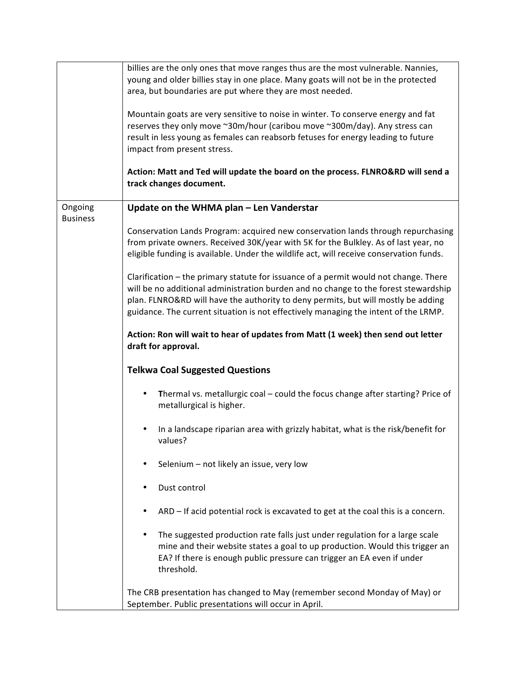|                            | billies are the only ones that move ranges thus are the most vulnerable. Nannies,<br>young and older billies stay in one place. Many goats will not be in the protected<br>area, but boundaries are put where they are most needed.                                                                                                                                   |
|----------------------------|-----------------------------------------------------------------------------------------------------------------------------------------------------------------------------------------------------------------------------------------------------------------------------------------------------------------------------------------------------------------------|
|                            | Mountain goats are very sensitive to noise in winter. To conserve energy and fat<br>reserves they only move ~30m/hour (caribou move ~300m/day). Any stress can<br>result in less young as females can reabsorb fetuses for energy leading to future<br>impact from present stress.<br>Action: Matt and Ted will update the board on the process. FLNRO&RD will send a |
|                            | track changes document.                                                                                                                                                                                                                                                                                                                                               |
| Ongoing<br><b>Business</b> | Update on the WHMA plan - Len Vanderstar                                                                                                                                                                                                                                                                                                                              |
|                            | Conservation Lands Program: acquired new conservation lands through repurchasing<br>from private owners. Received 30K/year with 5K for the Bulkley. As of last year, no<br>eligible funding is available. Under the wildlife act, will receive conservation funds.                                                                                                    |
|                            | Clarification - the primary statute for issuance of a permit would not change. There<br>will be no additional administration burden and no change to the forest stewardship<br>plan. FLNRO&RD will have the authority to deny permits, but will mostly be adding<br>guidance. The current situation is not effectively managing the intent of the LRMP.               |
|                            | Action: Ron will wait to hear of updates from Matt (1 week) then send out letter<br>draft for approval.                                                                                                                                                                                                                                                               |
|                            | <b>Telkwa Coal Suggested Questions</b>                                                                                                                                                                                                                                                                                                                                |
|                            | Thermal vs. metallurgic coal - could the focus change after starting? Price of<br>$\bullet$<br>metallurgical is higher.                                                                                                                                                                                                                                               |
|                            | In a landscape riparian area with grizzly habitat, what is the risk/benefit for<br>values?                                                                                                                                                                                                                                                                            |
|                            | Selenium - not likely an issue, very low                                                                                                                                                                                                                                                                                                                              |
|                            | Dust control<br>٠                                                                                                                                                                                                                                                                                                                                                     |
|                            | ARD - If acid potential rock is excavated to get at the coal this is a concern.<br>٠                                                                                                                                                                                                                                                                                  |
|                            | The suggested production rate falls just under regulation for a large scale<br>٠<br>mine and their website states a goal to up production. Would this trigger an<br>EA? If there is enough public pressure can trigger an EA even if under<br>threshold.                                                                                                              |
|                            | The CRB presentation has changed to May (remember second Monday of May) or<br>September. Public presentations will occur in April.                                                                                                                                                                                                                                    |